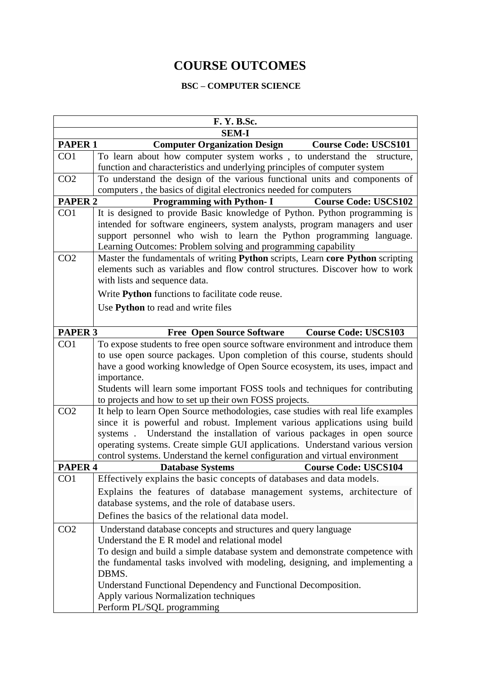## **COURSE OUTCOMES**

## **BSC – COMPUTER SCIENCE**

| F. Y. B.Sc.        |                                                                                                                                                 |  |  |  |
|--------------------|-------------------------------------------------------------------------------------------------------------------------------------------------|--|--|--|
| <b>SEM-I</b>       |                                                                                                                                                 |  |  |  |
| <b>PAPER 1</b>     | <b>Computer Organization Design</b><br><b>Course Code: USCS101</b>                                                                              |  |  |  |
| CO1                | To learn about how computer system works, to understand the structure,                                                                          |  |  |  |
|                    | function and characteristics and underlying principles of computer system                                                                       |  |  |  |
| CO <sub>2</sub>    | To understand the design of the various functional units and components of                                                                      |  |  |  |
|                    | computers, the basics of digital electronics needed for computers                                                                               |  |  |  |
| <b>PAPER 2</b>     | <b>Programming with Python-I</b><br><b>Course Code: USCS102</b>                                                                                 |  |  |  |
| CO1                | It is designed to provide Basic knowledge of Python. Python programming is                                                                      |  |  |  |
|                    | intended for software engineers, system analysts, program managers and user                                                                     |  |  |  |
|                    | support personnel who wish to learn the Python programming language.                                                                            |  |  |  |
| CO <sub>2</sub>    | Learning Outcomes: Problem solving and programming capability<br>Master the fundamentals of writing Python scripts, Learn core Python scripting |  |  |  |
|                    | elements such as variables and flow control structures. Discover how to work                                                                    |  |  |  |
|                    | with lists and sequence data.                                                                                                                   |  |  |  |
|                    | Write Python functions to facilitate code reuse.                                                                                                |  |  |  |
|                    | Use Python to read and write files                                                                                                              |  |  |  |
|                    |                                                                                                                                                 |  |  |  |
| PAPER <sub>3</sub> | <b>Free Open Source Software</b><br><b>Course Code: USCS103</b>                                                                                 |  |  |  |
| CO <sub>1</sub>    | To expose students to free open source software environment and introduce them                                                                  |  |  |  |
|                    | to use open source packages. Upon completion of this course, students should                                                                    |  |  |  |
|                    | have a good working knowledge of Open Source ecosystem, its uses, impact and                                                                    |  |  |  |
|                    | importance.                                                                                                                                     |  |  |  |
|                    | Students will learn some important FOSS tools and techniques for contributing                                                                   |  |  |  |
|                    | to projects and how to set up their own FOSS projects.                                                                                          |  |  |  |
| CO <sub>2</sub>    | It help to learn Open Source methodologies, case studies with real life examples                                                                |  |  |  |
|                    | since it is powerful and robust. Implement various applications using build                                                                     |  |  |  |
|                    | systems. Understand the installation of various packages in open source                                                                         |  |  |  |
|                    | operating systems. Create simple GUI applications. Understand various version                                                                   |  |  |  |
|                    | control systems. Understand the kernel configuration and virtual environment                                                                    |  |  |  |
| <b>PAPER 4</b>     | <b>Course Code: USCS104</b><br><b>Database Systems</b>                                                                                          |  |  |  |
| CO <sub>1</sub>    | Effectively explains the basic concepts of databases and data models.                                                                           |  |  |  |
|                    | Explains the features of database management systems, architecture of                                                                           |  |  |  |
|                    | database systems, and the role of database users.                                                                                               |  |  |  |
|                    | Defines the basics of the relational data model.                                                                                                |  |  |  |
| CO <sub>2</sub>    | Understand database concepts and structures and query language                                                                                  |  |  |  |
|                    | Understand the E R model and relational model                                                                                                   |  |  |  |
|                    | To design and build a simple database system and demonstrate competence with                                                                    |  |  |  |
|                    | the fundamental tasks involved with modeling, designing, and implementing a                                                                     |  |  |  |
|                    | DBMS.                                                                                                                                           |  |  |  |
|                    | Understand Functional Dependency and Functional Decomposition.                                                                                  |  |  |  |
|                    | Apply various Normalization techniques                                                                                                          |  |  |  |
|                    | Perform PL/SQL programming                                                                                                                      |  |  |  |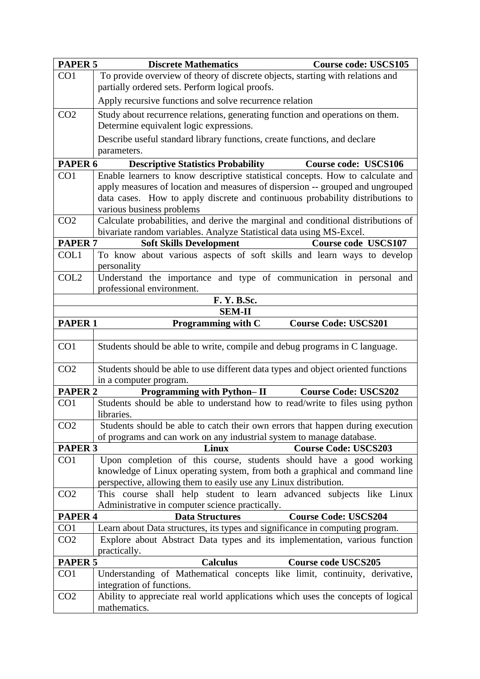| PAPER <sub>5</sub> | <b>Discrete Mathematics</b>                                                                                                                     | <b>Course code: USCS105</b> |  |
|--------------------|-------------------------------------------------------------------------------------------------------------------------------------------------|-----------------------------|--|
| CO1                | To provide overview of theory of discrete objects, starting with relations and                                                                  |                             |  |
|                    | partially ordered sets. Perform logical proofs.                                                                                                 |                             |  |
|                    | Apply recursive functions and solve recurrence relation                                                                                         |                             |  |
| CO <sub>2</sub>    | Study about recurrence relations, generating function and operations on them.                                                                   |                             |  |
|                    | Determine equivalent logic expressions.                                                                                                         |                             |  |
|                    | Describe useful standard library functions, create functions, and declare                                                                       |                             |  |
|                    | parameters.                                                                                                                                     |                             |  |
| PAPER <sub>6</sub> | <b>Descriptive Statistics Probability</b>                                                                                                       | <b>Course code: USCS106</b> |  |
| CO1                | Enable learners to know descriptive statistical concepts. How to calculate and                                                                  |                             |  |
|                    | apply measures of location and measures of dispersion -- grouped and ungrouped                                                                  |                             |  |
|                    | data cases. How to apply discrete and continuous probability distributions to                                                                   |                             |  |
|                    | various business problems                                                                                                                       |                             |  |
| CO <sub>2</sub>    | Calculate probabilities, and derive the marginal and conditional distributions of                                                               |                             |  |
| PAPER <sub>7</sub> | bivariate random variables. Analyze Statistical data using MS-Excel.<br><b>Soft Skills Development</b>                                          | Course code USCS107         |  |
| COL1               | To know about various aspects of soft skills and learn ways to develop                                                                          |                             |  |
|                    | personality                                                                                                                                     |                             |  |
| COL <sub>2</sub>   | Understand the importance and type of communication in personal and                                                                             |                             |  |
|                    | professional environment.                                                                                                                       |                             |  |
|                    | <b>F. Y. B.Sc.</b>                                                                                                                              |                             |  |
|                    | <b>SEM-II</b>                                                                                                                                   |                             |  |
| <b>PAPER 1</b>     | Programming with C                                                                                                                              | <b>Course Code: USCS201</b> |  |
|                    |                                                                                                                                                 |                             |  |
| CO1                | Students should be able to write, compile and debug programs in C language.                                                                     |                             |  |
| CO <sub>2</sub>    | Students should be able to use different data types and object oriented functions                                                               |                             |  |
|                    | in a computer program.                                                                                                                          |                             |  |
| <b>PAPER 2</b>     | Programming with Python-II                                                                                                                      | <b>Course Code: USCS202</b> |  |
| CO <sub>1</sub>    | Students should be able to understand how to read/write to files using python<br>libraries.                                                     |                             |  |
| CO <sub>2</sub>    | Students should be able to catch their own errors that happen during execution                                                                  |                             |  |
|                    | of programs and can work on any industrial system to manage database.                                                                           |                             |  |
| PAPER <sub>3</sub> | Linux                                                                                                                                           | <b>Course Code: USCS203</b> |  |
| CO <sub>1</sub>    | Upon completion of this course, students should have a good working                                                                             |                             |  |
|                    | knowledge of Linux operating system, from both a graphical and command line<br>perspective, allowing them to easily use any Linux distribution. |                             |  |
| CO <sub>2</sub>    | This course shall help student to learn advanced subjects like Linux                                                                            |                             |  |
|                    | Administrative in computer science practically.                                                                                                 |                             |  |
| <b>PAPER 4</b>     | <b>Data Structures</b>                                                                                                                          | <b>Course Code: USCS204</b> |  |
| CO <sub>1</sub>    | Learn about Data structures, its types and significance in computing program.                                                                   |                             |  |
| CO <sub>2</sub>    | Explore about Abstract Data types and its implementation, various function                                                                      |                             |  |
|                    | practically.                                                                                                                                    |                             |  |
| <b>PAPER 5</b>     | <b>Calculus</b>                                                                                                                                 | <b>Course code USCS205</b>  |  |
| CO <sub>1</sub>    | Understanding of Mathematical concepts like limit, continuity, derivative,                                                                      |                             |  |
| CO <sub>2</sub>    | integration of functions.<br>Ability to appreciate real world applications which uses the concepts of logical                                   |                             |  |
|                    | mathematics.                                                                                                                                    |                             |  |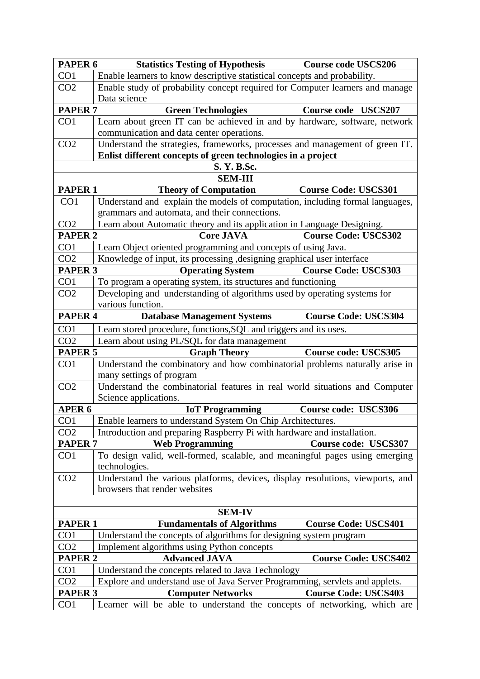| PAPER <sub>6</sub>                                                        | <b>Statistics Testing of Hypothesis</b>                                                                  | <b>Course code USCS206</b>  |
|---------------------------------------------------------------------------|----------------------------------------------------------------------------------------------------------|-----------------------------|
| CO1                                                                       | Enable learners to know descriptive statistical concepts and probability.                                |                             |
| CO <sub>2</sub>                                                           | Enable study of probability concept required for Computer learners and manage<br>Data science            |                             |
| <b>PAPER 7</b>                                                            | <b>Green Technologies</b>                                                                                | Course code USCS207         |
| CO <sub>1</sub>                                                           | Learn about green IT can be achieved in and by hardware, software, network                               |                             |
|                                                                           | communication and data center operations.                                                                |                             |
| CO <sub>2</sub>                                                           | Understand the strategies, frameworks, processes and management of green IT.                             |                             |
|                                                                           | Enlist different concepts of green technologies in a project                                             |                             |
|                                                                           | S. Y. B.Sc.                                                                                              |                             |
|                                                                           | <b>SEM-III</b>                                                                                           |                             |
| <b>PAPER 1</b>                                                            | <b>Theory of Computation</b>                                                                             | <b>Course Code: USCS301</b> |
| CO <sub>1</sub>                                                           | Understand and explain the models of computation, including formal languages,                            |                             |
|                                                                           | grammars and automata, and their connections.                                                            |                             |
| CO <sub>2</sub>                                                           | Learn about Automatic theory and its application in Language Designing.                                  |                             |
| PAPER <sub>2</sub>                                                        | <b>Core JAVA</b>                                                                                         | <b>Course Code: USCS302</b> |
| CO <sub>1</sub>                                                           | Learn Object oriented programming and concepts of using Java.                                            |                             |
| CO <sub>2</sub>                                                           | Knowledge of input, its processing , designing graphical user interface                                  |                             |
| <b>PAPER 3</b>                                                            | <b>Operating System</b>                                                                                  | <b>Course Code: USCS303</b> |
| CO <sub>1</sub>                                                           | To program a operating system, its structures and functioning                                            |                             |
| CO <sub>2</sub>                                                           | Developing and understanding of algorithms used by operating systems for                                 |                             |
|                                                                           | various function.                                                                                        |                             |
| PAPER <sub>4</sub>                                                        | <b>Database Management Systems</b>                                                                       | <b>Course Code: USCS304</b> |
| CO <sub>1</sub>                                                           | Learn stored procedure, functions, SQL and triggers and its uses.                                        |                             |
| CO <sub>2</sub>                                                           | Learn about using PL/SQL for data management                                                             |                             |
| PAPER <sub>5</sub>                                                        | <b>Graph Theory</b>                                                                                      | <b>Course code: USCS305</b> |
| CO <sub>1</sub>                                                           | Understand the combinatory and how combinatorial problems naturally arise in<br>many settings of program |                             |
| CO <sub>2</sub>                                                           | Understand the combinatorial features in real world situations and Computer                              |                             |
|                                                                           | Science applications.                                                                                    |                             |
| APER <sub>6</sub>                                                         | <b>IoT</b> Programming                                                                                   | Course code: USCS306        |
| CO1                                                                       | Enable learners to understand System On Chip Architectures.                                              |                             |
| CO <sub>2</sub>                                                           | Introduction and preparing Raspberry Pi with hardware and installation.                                  |                             |
| <b>PAPER 7</b>                                                            | <b>Web Programming</b>                                                                                   | Course code: USCS307        |
| CO <sub>1</sub>                                                           | To design valid, well-formed, scalable, and meaningful pages using emerging<br>technologies.             |                             |
| CO <sub>2</sub>                                                           | Understand the various platforms, devices, display resolutions, viewports, and                           |                             |
|                                                                           | browsers that render websites                                                                            |                             |
|                                                                           |                                                                                                          |                             |
|                                                                           | <b>SEM-IV</b>                                                                                            |                             |
| <b>PAPER 1</b>                                                            | <b>Fundamentals of Algorithms</b>                                                                        | <b>Course Code: USCS401</b> |
| CO <sub>1</sub>                                                           | Understand the concepts of algorithms for designing system program                                       |                             |
| CO <sub>2</sub>                                                           | Implement algorithms using Python concepts                                                               |                             |
| <b>PAPER 2</b>                                                            | <b>Advanced JAVA</b>                                                                                     | <b>Course Code: USCS402</b> |
| CO <sub>1</sub>                                                           | Understand the concepts related to Java Technology                                                       |                             |
| CO <sub>2</sub>                                                           | Explore and understand use of Java Server Programming, servlets and applets.                             |                             |
| <b>PAPER 3</b><br><b>Computer Networks</b><br><b>Course Code: USCS403</b> |                                                                                                          |                             |
| CO <sub>1</sub>                                                           | Learner will be able to understand the concepts of networking, which are                                 |                             |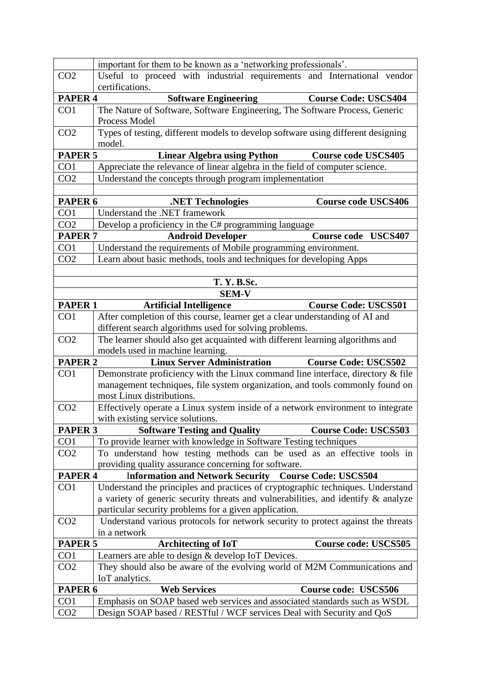|                    | important for them to be known as a 'networking professionals'.                                                                                                 |                             |
|--------------------|-----------------------------------------------------------------------------------------------------------------------------------------------------------------|-----------------------------|
| CO <sub>2</sub>    | Useful to proceed with industrial requirements and International vendor                                                                                         |                             |
|                    | certifications.                                                                                                                                                 |                             |
| PAPER <sub>4</sub> | <b>Software Engineering</b>                                                                                                                                     | <b>Course Code: USCS404</b> |
| CO1                | The Nature of Software, Software Engineering, The Software Process, Generic<br>Process Model                                                                    |                             |
| CO <sub>2</sub>    | Types of testing, different models to develop software using different designing<br>model.                                                                      |                             |
| <b>PAPER 5</b>     | <b>Linear Algebra using Python</b>                                                                                                                              | <b>Course code USCS405</b>  |
| CO <sub>1</sub>    | Appreciate the relevance of linear algebra in the field of computer science.                                                                                    |                             |
| CO <sub>2</sub>    | Understand the concepts through program implementation                                                                                                          |                             |
|                    |                                                                                                                                                                 |                             |
| PAPER <sub>6</sub> | .NET Technologies                                                                                                                                               | <b>Course code USCS406</b>  |
| CO <sub>1</sub>    | Understand the .NET framework                                                                                                                                   |                             |
| CO <sub>2</sub>    | Develop a proficiency in the C# programming language                                                                                                            |                             |
| <b>PAPER 7</b>     | <b>Android Developer</b>                                                                                                                                        | <b>Course code USCS407</b>  |
| CO1                | Understand the requirements of Mobile programming environment.                                                                                                  |                             |
| CO <sub>2</sub>    | Learn about basic methods, tools and techniques for developing Apps                                                                                             |                             |
|                    |                                                                                                                                                                 |                             |
|                    | <b>T. Y. B.Sc.</b>                                                                                                                                              |                             |
|                    | <b>SEM-V</b>                                                                                                                                                    |                             |
| <b>PAPER 1</b>     | <b>Artificial Intelligence</b>                                                                                                                                  | <b>Course Code: USCS501</b> |
| CO <sub>1</sub>    | After completion of this course, learner get a clear understanding of AI and                                                                                    |                             |
|                    | different search algorithms used for solving problems.                                                                                                          |                             |
| CO <sub>2</sub>    | The learner should also get acquainted with different learning algorithms and                                                                                   |                             |
|                    | models used in machine learning.                                                                                                                                |                             |
| <b>PAPER 2</b>     | <b>Linux Server Administration</b>                                                                                                                              | <b>Course Code: USCS502</b> |
| CO <sub>1</sub>    | Demonstrate proficiency with the Linux command line interface, directory & file<br>management techniques, file system organization, and tools commonly found on |                             |
|                    | most Linux distributions.                                                                                                                                       |                             |
| CO <sub>2</sub>    | Effectively operate a Linux system inside of a network environment to integrate                                                                                 |                             |
|                    | with existing service solutions.                                                                                                                                |                             |
| PAPER <sub>3</sub> | <b>Software Testing and Quality</b>                                                                                                                             | <b>Course Code: USCS503</b> |
| CO <sub>1</sub>    | To provide learner with knowledge in Software Testing techniques                                                                                                |                             |
| CO <sub>2</sub>    | To understand how testing methods can be used as an effective tools in                                                                                          |                             |
|                    | providing quality assurance concerning for software.                                                                                                            |                             |
| PAPER <sub>4</sub> | <b>Information and Network Security Course Code: USCS504</b>                                                                                                    |                             |
| CO <sub>1</sub>    | Understand the principles and practices of cryptographic techniques. Understand                                                                                 |                             |
|                    | a variety of generic security threats and vulnerabilities, and identify & analyze                                                                               |                             |
|                    | particular security problems for a given application.                                                                                                           |                             |
| CO <sub>2</sub>    | Understand various protocols for network security to protect against the threats                                                                                |                             |
|                    | in a network                                                                                                                                                    |                             |
| PAPER <sub>5</sub> | <b>Architecting of IoT</b>                                                                                                                                      | <b>Course code: USCS505</b> |
| CO1                | Learners are able to design & develop IoT Devices.                                                                                                              |                             |
| CO <sub>2</sub>    | They should also be aware of the evolving world of M2M Communications and                                                                                       |                             |
|                    | IoT analytics.                                                                                                                                                  |                             |
| PAPER <sub>6</sub> | <b>Web Services</b>                                                                                                                                             | Course code: USCS506        |
| CO <sub>1</sub>    | Emphasis on SOAP based web services and associated standards such as WSDL                                                                                       |                             |
| CO <sub>2</sub>    | Design SOAP based / RESTful / WCF services Deal with Security and QoS                                                                                           |                             |